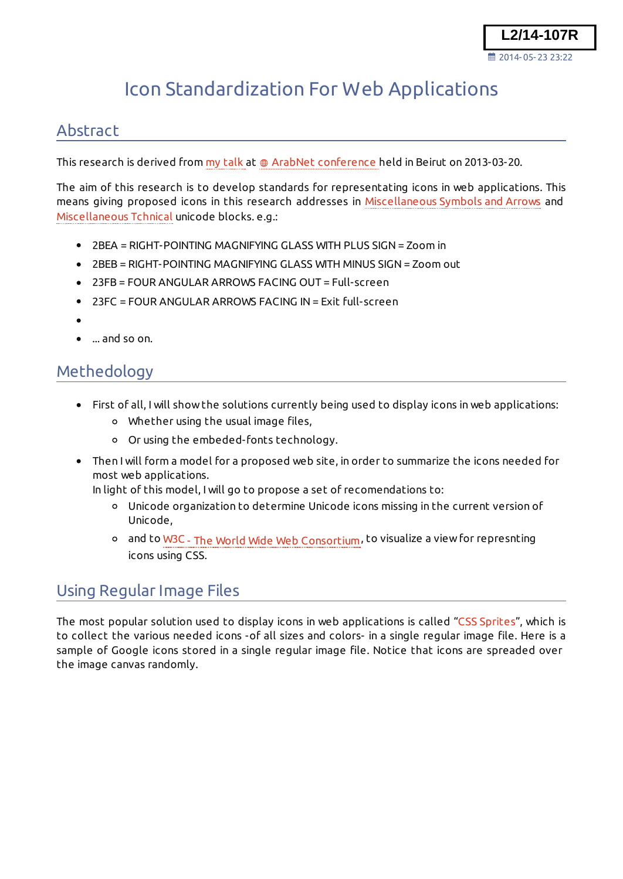# Icon Standardization For Web Applications

### Abstract

This research is derived from my talk at  $\oplus$  ArabNet conference held in Beirut on 2013-03-20.

The aim of this research is to develop standards for representating icons in web applications. This means giving proposed icons in this research addresses in Miscellaneous Symbols and Arrows and Miscellaneous Tchnical unicode blocks. e.g.:

- 2BEA = RIGHT-POINTING MAGNIFYING GLASS WITH PLUS SIGN = Zoom in
- 2BEB = RIGHT-POINTING MAGNIFYING GLASS WITH MINUS SIGN = Zoom out
- 23FB = FOUR ANGULAR ARROWS FACING OUT = Full-screen
- 23FC = FOUR ANGULAR ARROWS FACING IN = Exit full-screen
- 
- ... and so on.

### Methedology

- First of all, I will show the solutions currently being used to display icons in web applications:
	- Whether using the usual image files,
	- Or using the embeded-fonts technology.
- Then I will form a model for a proposed web site, in order to summarize the icons needed for most web applications.

In light of this model, I will go to propose a set of recomendations to:

- Unicode organization to determine Unicode icons missing in the current version of Unicode,
- o and to W3C The World Wide Web Consortium, to visualize a view for represnting icons using CSS.

### Using Regular Image Files

The most popular solution used to display icons in web applications is called "CSS Sprites", which is to collect the various needed icons -of all sizes and colors- in a single regular image file. Here is a sample of Google icons stored in a single regular image file. Notice that icons are spreaded over the image canvas randomly.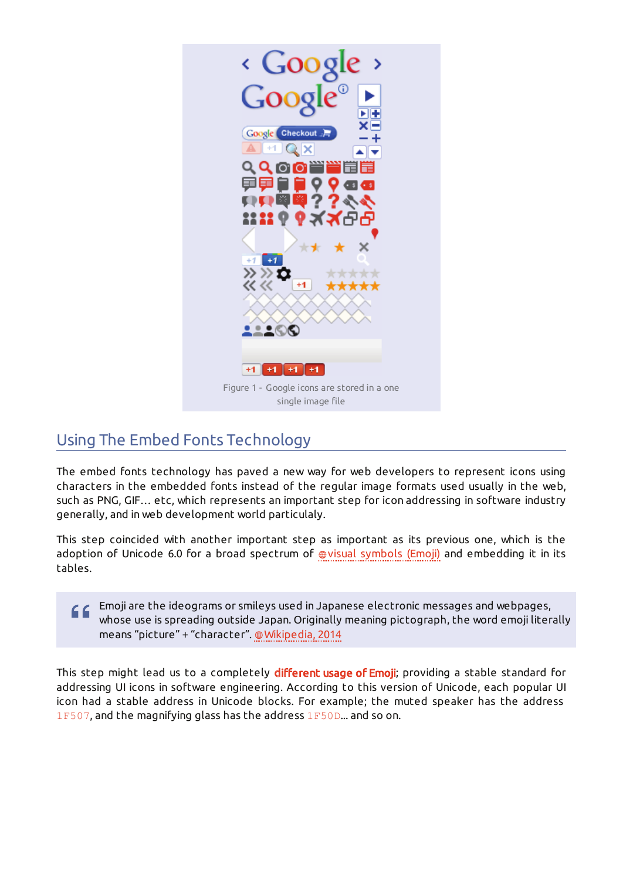

# Using The Embed Fonts Technology

The embed fonts technology has paved a new way for web developers to represent icons using characters in the embedded fonts instead of the regular image formats used usually in the web, such as PNG, GIF… etc, which represents an important step for icon addressing in software industry generally, and in web development world particulaly.

This step coincided with another important step as important as its previous one, which is the adoption of Unicode 6.0 for a broad spectrum of @visual symbols (Emoji) and embedding it in its tables.

Emoji are the ideograms or smileys used in Japanese electronic messages and webpages, 66 whose use is spreading outside Japan. Originally meaning pictograph, the word emoji literally means "picture" + "character". @ Wikipedia, 2014

This step might lead us to a completely different usage of Emoji; providing a stable standard for addressing UI icons in software engineering. According to this version of Unicode, each popular UI icon had a stable address in Unicode blocks. For example; the muted speaker has the address 1F507, and the magnifying glass has the address 1F50D... and so on.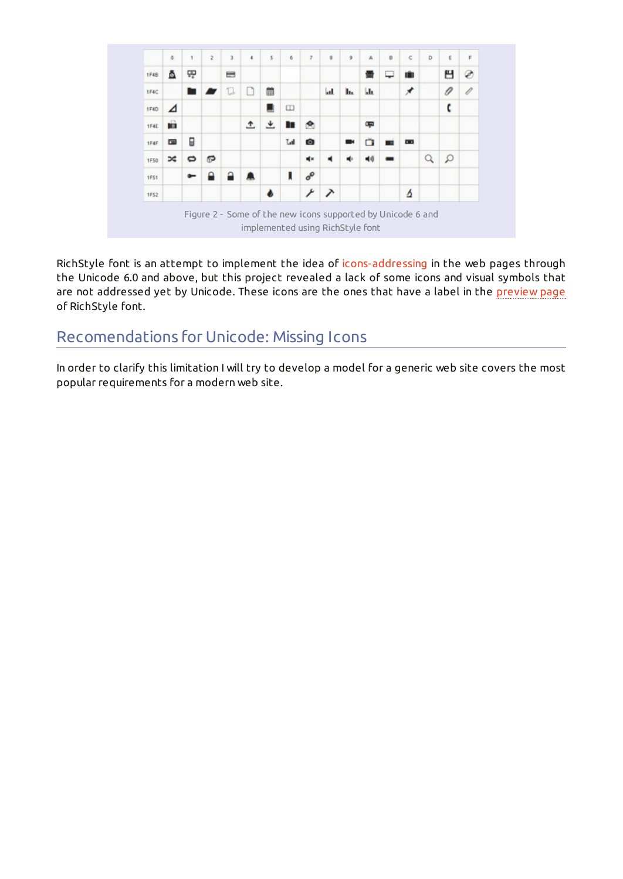

RichStyle font is an attempt to implement the idea of icons-addressing in the web pages through the Unicode 6.0 and above, but this project revealed a lack of some icons and visual symbols that are not addressed yet by Unicode. These icons are the ones that have a label in the preview page of RichStyle font.

### Recomendations for Unicode: Missing Icons

In order to clarify this limitation I will try to develop a model for a generic web site covers the most popular requirements for a modern web site.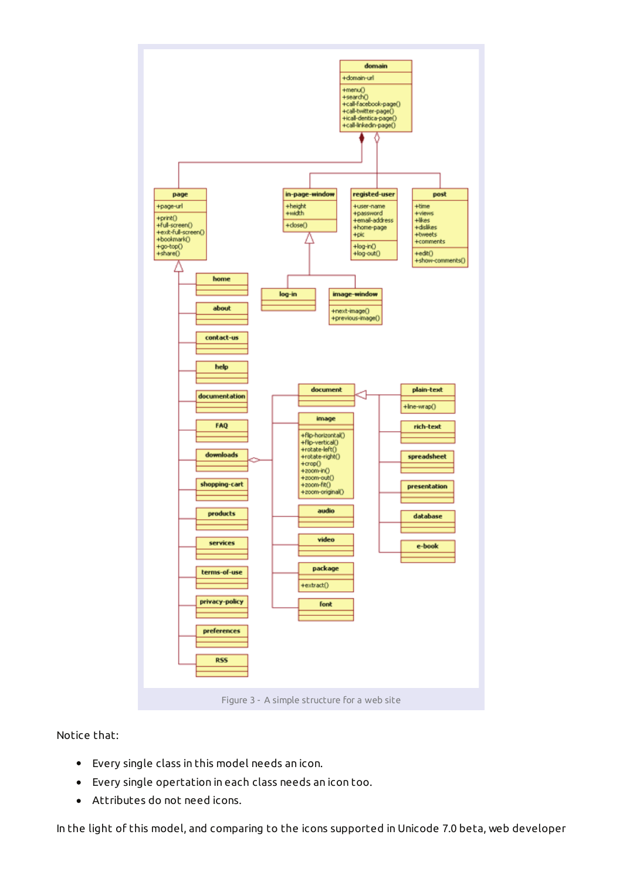

Notice that:

- Every single class in this model needs an icon.  $\bullet$
- $\bullet$ Every single opertation in each class needs an icon too.
- Attributes do not need icons.

In the light of this model, and comparing to the icons supported in Unicode 7.0 beta, web developer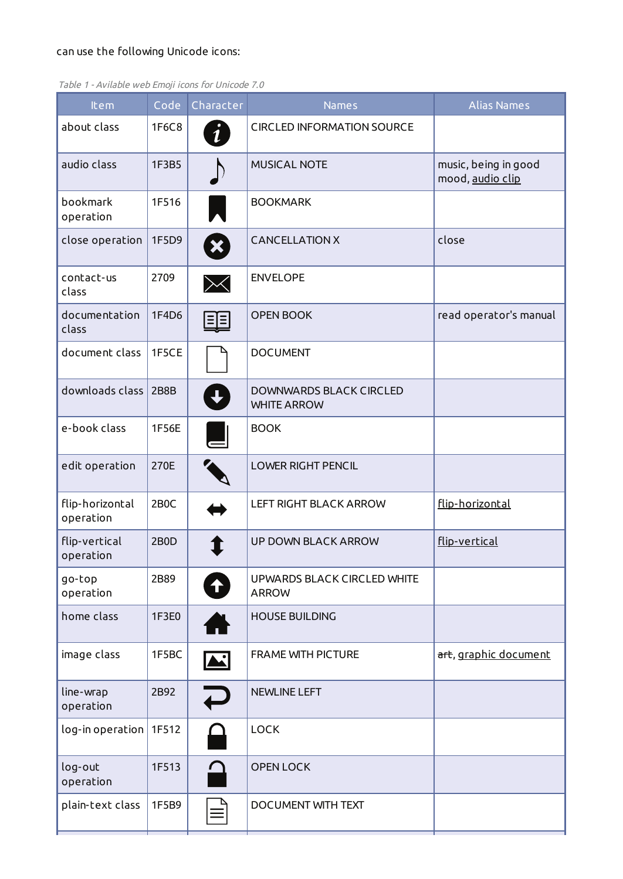#### can use the following Unicode icons:

| about class<br><b>CIRCLED INFORMATION SOURCE</b><br>1F6C8<br>$\boldsymbol{i}$<br>audio class<br><b>MUSICAL NOTE</b><br>1F3B5<br>music, being in good<br>mood, audio clip<br>bookmark<br>1F516<br><b>BOOKMARK</b><br>operation<br><b>CANCELLATION X</b><br>close<br>close operation<br>1F5D9<br>X<br>contact-us<br>2709<br><b>ENVELOPE</b><br>$\times$<br>class<br>1F4D6<br><b>OPEN BOOK</b><br>documentation<br>$E =$<br>class<br>document class<br>1F5CE<br><b>DOCUMENT</b><br>downloads class<br>2B8B<br><b>DOWNWARDS BLACK CIRCLED</b><br><b>WHITE ARROW</b><br>e-book class<br>1F56E<br><b>BOOK</b><br>edit operation<br>270E<br><b>LOWER RIGHT PENCIL</b><br>flip-horizontal<br>2B <sub>0</sub> C<br>flip-horizontal<br><b>LEFT RIGHT BLACK ARROW</b><br>operation<br>flip-vertical<br><b>UP DOWN BLACK ARROW</b><br>flip-vertical<br>2B0D<br>operation<br>2B89<br>UPWARDS BLACK CIRCLED WHITE<br>go-top<br>$\biguparrow$<br><b>ARROW</b> | Item      | Code<br>Character | <b>Names</b> | <b>Alias Names</b>     |
|------------------------------------------------------------------------------------------------------------------------------------------------------------------------------------------------------------------------------------------------------------------------------------------------------------------------------------------------------------------------------------------------------------------------------------------------------------------------------------------------------------------------------------------------------------------------------------------------------------------------------------------------------------------------------------------------------------------------------------------------------------------------------------------------------------------------------------------------------------------------------------------------------------------------------------------------|-----------|-------------------|--------------|------------------------|
|                                                                                                                                                                                                                                                                                                                                                                                                                                                                                                                                                                                                                                                                                                                                                                                                                                                                                                                                                |           |                   |              |                        |
|                                                                                                                                                                                                                                                                                                                                                                                                                                                                                                                                                                                                                                                                                                                                                                                                                                                                                                                                                |           |                   |              |                        |
|                                                                                                                                                                                                                                                                                                                                                                                                                                                                                                                                                                                                                                                                                                                                                                                                                                                                                                                                                |           |                   |              |                        |
|                                                                                                                                                                                                                                                                                                                                                                                                                                                                                                                                                                                                                                                                                                                                                                                                                                                                                                                                                |           |                   |              |                        |
|                                                                                                                                                                                                                                                                                                                                                                                                                                                                                                                                                                                                                                                                                                                                                                                                                                                                                                                                                |           |                   |              |                        |
|                                                                                                                                                                                                                                                                                                                                                                                                                                                                                                                                                                                                                                                                                                                                                                                                                                                                                                                                                |           |                   |              | read operator's manual |
|                                                                                                                                                                                                                                                                                                                                                                                                                                                                                                                                                                                                                                                                                                                                                                                                                                                                                                                                                |           |                   |              |                        |
|                                                                                                                                                                                                                                                                                                                                                                                                                                                                                                                                                                                                                                                                                                                                                                                                                                                                                                                                                |           |                   |              |                        |
|                                                                                                                                                                                                                                                                                                                                                                                                                                                                                                                                                                                                                                                                                                                                                                                                                                                                                                                                                |           |                   |              |                        |
|                                                                                                                                                                                                                                                                                                                                                                                                                                                                                                                                                                                                                                                                                                                                                                                                                                                                                                                                                |           |                   |              |                        |
|                                                                                                                                                                                                                                                                                                                                                                                                                                                                                                                                                                                                                                                                                                                                                                                                                                                                                                                                                |           |                   |              |                        |
|                                                                                                                                                                                                                                                                                                                                                                                                                                                                                                                                                                                                                                                                                                                                                                                                                                                                                                                                                |           |                   |              |                        |
|                                                                                                                                                                                                                                                                                                                                                                                                                                                                                                                                                                                                                                                                                                                                                                                                                                                                                                                                                | operation |                   |              |                        |
| home class<br>1F3E0<br><b>HOUSE BUILDING</b>                                                                                                                                                                                                                                                                                                                                                                                                                                                                                                                                                                                                                                                                                                                                                                                                                                                                                                   |           |                   |              |                        |
| image class<br>1F5BC<br><b>FRAME WITH PICTURE</b><br>A.                                                                                                                                                                                                                                                                                                                                                                                                                                                                                                                                                                                                                                                                                                                                                                                                                                                                                        |           |                   |              | art, graphic document  |
| line-wrap<br>2B92<br><b>NEWLINE LEFT</b><br>operation                                                                                                                                                                                                                                                                                                                                                                                                                                                                                                                                                                                                                                                                                                                                                                                                                                                                                          |           |                   |              |                        |
| <b>LOCK</b><br>log-in operation<br>1F512                                                                                                                                                                                                                                                                                                                                                                                                                                                                                                                                                                                                                                                                                                                                                                                                                                                                                                       |           |                   |              |                        |
| log-out<br>1F513<br><b>OPEN LOCK</b><br>operation                                                                                                                                                                                                                                                                                                                                                                                                                                                                                                                                                                                                                                                                                                                                                                                                                                                                                              |           |                   |              |                        |
| plain-text class<br>1F5B9<br>DOCUMENT WITH TEXT                                                                                                                                                                                                                                                                                                                                                                                                                                                                                                                                                                                                                                                                                                                                                                                                                                                                                                |           |                   |              |                        |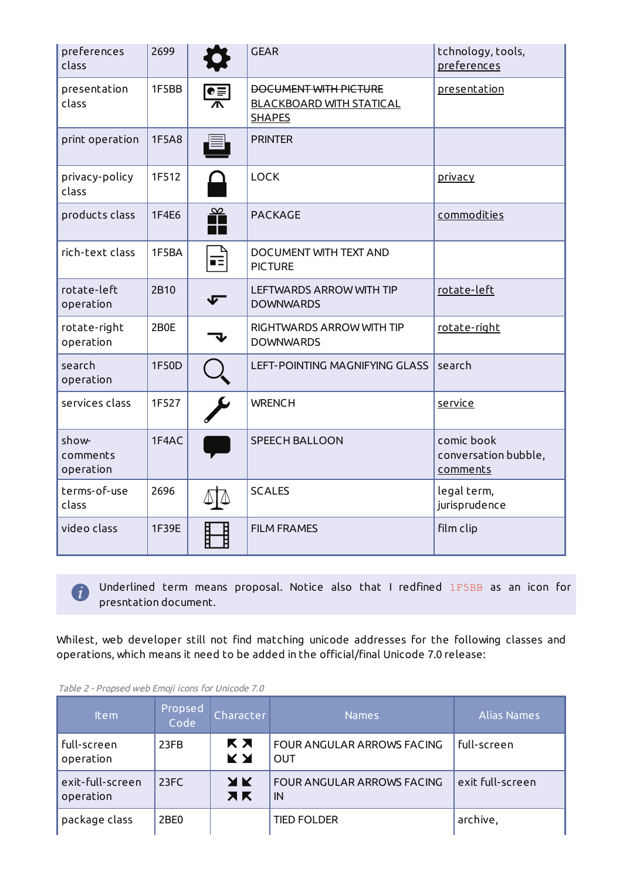| preferences<br>class           | 2699  |                                 | <b>GEAR</b>                                                                      | tchnology, tools,<br><b>preferences</b>        |
|--------------------------------|-------|---------------------------------|----------------------------------------------------------------------------------|------------------------------------------------|
| presentation<br>class          | 1F5BB | $\frac{\mathbf{e}}{\mathbf{A}}$ | <b>BOCUMENT WITH PICTURE</b><br><b>BLACKBOARD WITH STATICAL</b><br><b>SHAPES</b> | presentation                                   |
| print operation                | 1F5A8 |                                 | <b>PRINTER</b>                                                                   |                                                |
| privacy-policy<br>class        | 1F512 |                                 | <b>LOCK</b>                                                                      | <u>privacy</u>                                 |
| products class                 | 1F4E6 | $\frac{\infty}{\blacksquare}$   | <b>PACKAGE</b>                                                                   | commodities                                    |
| rich-text class                | 1F5BA | 菲                               | <b>DOCUMENT WITH TEXT AND</b><br><b>PICTURE</b>                                  |                                                |
| rotate-left<br>operation       | 2B10  |                                 | <b>LEFTWARDS ARROW WITH TIP</b><br><b>DOWNWARDS</b>                              | rotate-left                                    |
| rotate-right<br>operation      | 2B0E  |                                 | RIGHTWARDS ARROW WITH TIP<br><b>DOWNWARDS</b>                                    | rotate-right                                   |
| search<br>operation            | 1F50D |                                 | LEFT-POINTING MAGNIFYING GLASS                                                   | search                                         |
| services class                 | 1F527 |                                 | <b>WRENCH</b>                                                                    | service                                        |
| show-<br>comments<br>operation | 1F4AC |                                 | <b>SPEECH BALLOON</b>                                                            | comic book<br>conversation bubble,<br>comments |
| terms-of-use<br>class          | 2696  |                                 | <b>SCALES</b>                                                                    | legal term,<br>jurisprudence                   |
| video class                    | 1F39E |                                 | <b>FILM FRAMES</b>                                                               | film clip                                      |

 Underlined term means proposal. Notice also that I redfined 1F5BB as an icon for presntation document.

Whilest, web developer still not find matching unicode addresses for the following classes and operations, which means it need to be added in the official/final Unicode 7.0 release:

| <b>Item</b>                   | Propsed<br>Code  | Character        | <b>Names</b>                             | <b>Alias Names</b> |
|-------------------------------|------------------|------------------|------------------------------------------|--------------------|
| full-screen<br>operation      | 23FB             | K X<br><b>KY</b> | FOUR ANGULAR ARROWS FACING<br><b>OUT</b> | full-screen        |
| exit-full-screen<br>operation | 23FC             | XK<br><b>XK</b>  | FOUR ANGULAR ARROWS FACING<br>IN         | exit full-screen   |
| package class                 | 2BE <sub>0</sub> |                  | <b>TIED FOLDER</b>                       | archive,           |

Table 2 - Propsed web Emoji icons for Unicode 7.0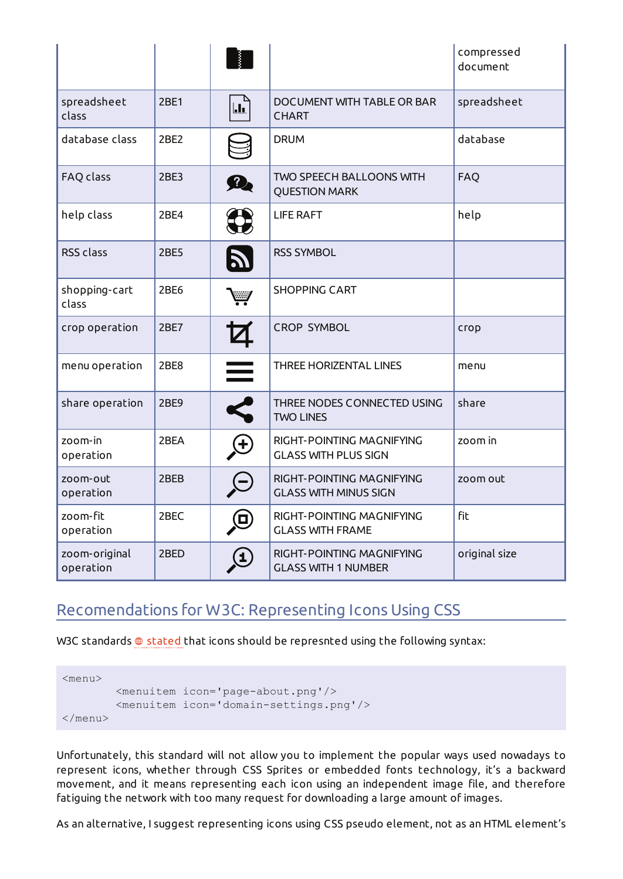|                            |             |                   |                                                           | compressed<br>document |
|----------------------------|-------------|-------------------|-----------------------------------------------------------|------------------------|
| spreadsheet<br>class       | <b>2BE1</b> | $\mathbf{h}$      | DOCUMENT WITH TABLE OR BAR<br><b>CHART</b>                | spreadsheet            |
| database class             | 2BE2        |                   | <b>DRUM</b>                                               | database               |
| FAQ class                  | 2BE3        | 9                 | <b>TWO SPEECH BALLOONS WITH</b><br><b>QUESTION MARK</b>   | FAQ                    |
| help class                 | 2BE4        |                   | <b>LIFE RAFT</b>                                          | help                   |
| <b>RSS class</b>           | <b>2BE5</b> |                   | <b>RSS SYMBOL</b>                                         |                        |
| shopping-cart<br>class     | 2BE6        |                   | <b>SHOPPING CART</b>                                      |                        |
| crop operation             | 2BE7        |                   | <b>CROP SYMBOL</b>                                        | сгор                   |
| menu operation             | 2BE8        | $\equiv$          | THREE HORIZENTAL LINES                                    | menu                   |
| share operation            | 2BE9        |                   | THREE NODES CONNECTED USING<br><b>TWO LINES</b>           | share                  |
| zoom-in<br>operation       | 2BEA        |                   | RIGHT-POINTING MAGNIFYING<br><b>GLASS WITH PLUS SIGN</b>  | zoom in                |
| zoom-out<br>operation      | 2BEB        |                   | RIGHT-POINTING MAGNIFYING<br><b>GLASS WITH MINUS SIGN</b> | zoom out               |
| zoom-fit<br>operation      | 2BEC        | (ロ)               | RIGHT-POINTING MAGNIFYING<br><b>GLASS WITH FRAME</b>      | <b>fit</b>             |
| zoom-original<br>operation | 2BED        | $\left( 1\right)$ | RIGHT-POINTING MAGNIFYING<br><b>GLASS WITH 1 NUMBER</b>   | original size          |

# Recomendations for W3C: Representing Icons Using CSS

W3C standards  $\oplus$  stated that icons should be represnted using the following syntax:

```
<menu>
         <menuitem icon='page-about.png'/>
         <menuitem icon='domain-settings.png'/>
</menu>
```
Unfortunately, this standard will not allow you to implement the popular ways used nowadays to represent icons, whether through CSS Sprites or embedded fonts technology, it's a backward movement, and it means representing each icon using an independent image file, and therefore fatiguing the network with too many request for downloading a large amount of images.

As an alternative, I suggest representing icons using CSS pseudo element, not as an HTML element's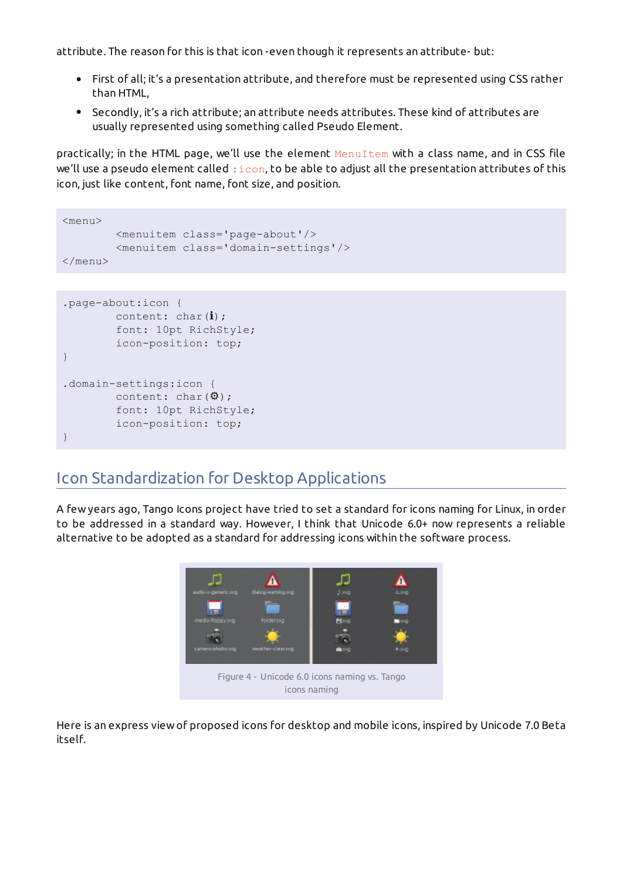attribute. The reason for this is that icon -even though it represents an attribute- but:

- First of all; it's a presentation attribute, and therefore must be represented using CSS rather than HTML,
- Secondly, it's a rich attribute; an attribute needs attributes. These kind of attributes are usually represented using something called Pseudo Element.

practically; in the HTML page, we'll use the element MenuItem with a class name, and in CSS file we'll use a pseudo element called  $:$ icon, to be able to adjust all the presentation attributes of this icon, just like content, font name, font size, and position.

```
<menu>
         <menuitem class='page-about'/>
         <menuitem class='domain-settings'/>
\langle/menu>
```

```
.page-about:icon {
        content: char(i);
         font: 10pt RichStyle;
         icon-position: top;
}
.domain-settings:icon {
        content: char(\Phi);
         font: 10pt RichStyle;
         icon-position: top;
}
```
### Icon Standardization for Desktop Applications

A few years ago, Tango Icons project have tried to set a standard for icons naming for Linux, in order to be addressed in a standard way. However, I think that Unicode 6.0+ now represents a reliable alternative to be adopted as a standard for addressing icons within the software process.



Here is an express view of proposed icons for desktop and mobile icons, inspired by Unicode 7.0 Beta itself.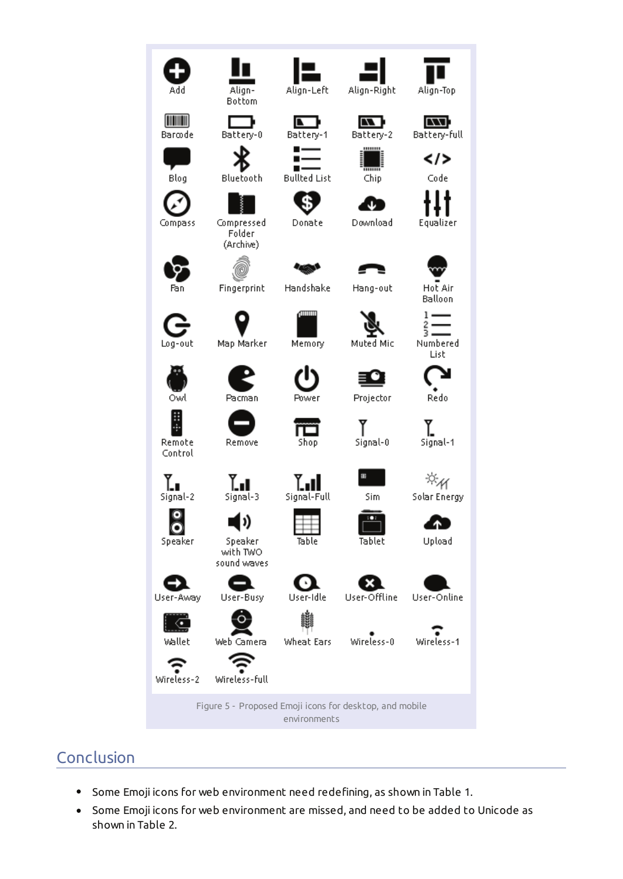

# Conclusion

- Some Emoji icons for web environment need redefining, as shown in Table 1.  $\bullet$
- Some Emoji icons for web environment are missed, and need to be added to Unicode as  $\bullet$ shown in Table 2.